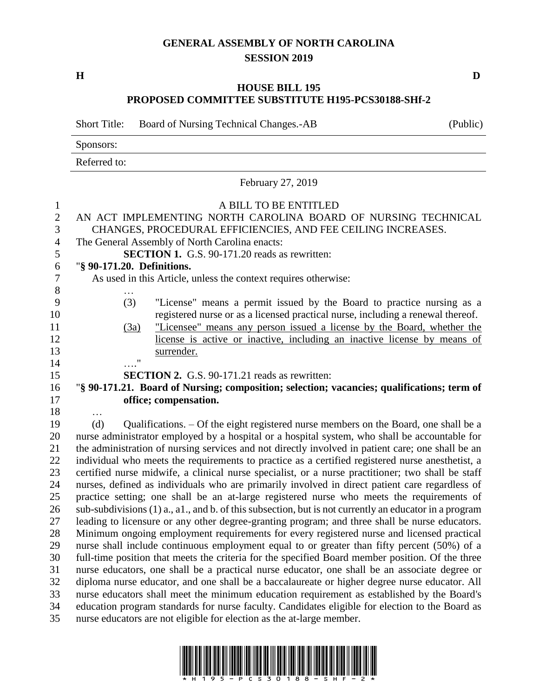## **GENERAL ASSEMBLY OF NORTH CAROLINA SESSION 2019**

**H D**

## **HOUSE BILL 195 PROPOSED COMMITTEE SUBSTITUTE H195-PCS30188-SHf-2**

Short Title: Board of Nursing Technical Changes.-AB (Public)

Sponsors:

Referred to:

## February 27, 2019 A BILL TO BE ENTITLED AN ACT IMPLEMENTING NORTH CAROLINA BOARD OF NURSING TECHNICAL CHANGES, PROCEDURAL EFFICIENCIES, AND FEE CEILING INCREASES. The General Assembly of North Carolina enacts: **SECTION 1.** G.S. 90-171.20 reads as rewritten: "**§ 90-171.20. Definitions.** As used in this Article, unless the context requires otherwise: … (3) "License" means a permit issued by the Board to practice nursing as a registered nurse or as a licensed practical nurse, including a renewal thereof. (3a) "Licensee" means any person issued a license by the Board, whether the license is active or inactive, including an inactive license by means of surrender. …." **SECTION 2.** G.S. 90-171.21 reads as rewritten: "**§ 90-171.21. Board of Nursing; composition; selection; vacancies; qualifications; term of office; compensation.** … (d) Qualifications. – Of the eight registered nurse members on the Board, one shall be a nurse administrator employed by a hospital or a hospital system, who shall be accountable for the administration of nursing services and not directly involved in patient care; one shall be an individual who meets the requirements to practice as a certified registered nurse anesthetist, a certified nurse midwife, a clinical nurse specialist, or a nurse practitioner; two shall be staff nurses, defined as individuals who are primarily involved in direct patient care regardless of practice setting; one shall be an at-large registered nurse who meets the requirements of sub-subdivisions (1) a., a1., and b. of this subsection, but is not currently an educator in a program leading to licensure or any other degree-granting program; and three shall be nurse educators. Minimum ongoing employment requirements for every registered nurse and licensed practical nurse shall include continuous employment equal to or greater than fifty percent (50%) of a full-time position that meets the criteria for the specified Board member position. Of the three nurse educators, one shall be a practical nurse educator, one shall be an associate degree or diploma nurse educator, and one shall be a baccalaureate or higher degree nurse educator. All nurse educators shall meet the minimum education requirement as established by the Board's education program standards for nurse faculty. Candidates eligible for election to the Board as nurse educators are not eligible for election as the at-large member.

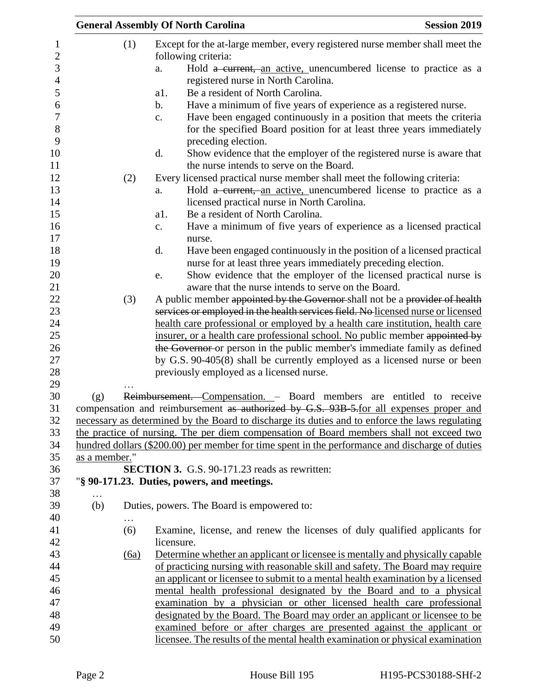|               |          | <b>General Assembly Of North Carolina</b>                                                                                                                                                                                                                                                                                                                                                                                                                                                                                                                                                                                                                                  | <b>Session 2019</b> |
|---------------|----------|----------------------------------------------------------------------------------------------------------------------------------------------------------------------------------------------------------------------------------------------------------------------------------------------------------------------------------------------------------------------------------------------------------------------------------------------------------------------------------------------------------------------------------------------------------------------------------------------------------------------------------------------------------------------------|---------------------|
|               | (1)      | Except for the at-large member, every registered nurse member shall meet the<br>following criteria:<br>Hold a current, an active, unencumbered license to practice as a<br>a.<br>registered nurse in North Carolina.<br>Be a resident of North Carolina.<br>a1.<br>Have a minimum of five years of experience as a registered nurse.<br>$\mathbf b$ .<br>Have been engaged continuously in a position that meets the criteria<br>$\mathbf{c}$ .<br>for the specified Board position for at least three years immediately<br>preceding election.<br>Show evidence that the employer of the registered nurse is aware that<br>d.<br>the nurse intends to serve on the Board. |                     |
|               | (2)      | Every licensed practical nurse member shall meet the following criteria:<br>Hold a current, an active, unencumbered license to practice as a<br>a.<br>licensed practical nurse in North Carolina.                                                                                                                                                                                                                                                                                                                                                                                                                                                                          |                     |
|               |          | Be a resident of North Carolina.<br>a1.<br>Have a minimum of five years of experience as a licensed practical<br>c.<br>nurse.                                                                                                                                                                                                                                                                                                                                                                                                                                                                                                                                              |                     |
|               |          | Have been engaged continuously in the position of a licensed practical<br>d.<br>nurse for at least three years immediately preceding election.<br>Show evidence that the employer of the licensed practical nurse is<br>e.<br>aware that the nurse intends to serve on the Board.                                                                                                                                                                                                                                                                                                                                                                                          |                     |
|               | (3)      | A public member appointed by the Governor shall not be a provider of health<br>services or employed in the health services field. No licensed nurse or licensed<br>health care professional or employed by a health care institution, health care<br>insurer, or a health care professional school. No public member appointed by<br>the Governor or person in the public member's immediate family as defined<br>by G.S. 90-405(8) shall be currently employed as a licensed nurse or been<br>previously employed as a licensed nurse.                                                                                                                                    |                     |
| (g)           |          | Reimbursement. Compensation. - Board members are entitled to receive<br>compensation and reimbursement as authorized by G.S. 93B-5-for all expenses proper and<br>necessary as determined by the Board to discharge its duties and to enforce the laws regulating                                                                                                                                                                                                                                                                                                                                                                                                          |                     |
|               |          | the practice of nursing. The per diem compensation of Board members shall not exceed two<br>hundred dollars (\$200.00) per member for time spent in the performance and discharge of duties                                                                                                                                                                                                                                                                                                                                                                                                                                                                                |                     |
| as a member." |          |                                                                                                                                                                                                                                                                                                                                                                                                                                                                                                                                                                                                                                                                            |                     |
|               |          | <b>SECTION 3.</b> G.S. 90-171.23 reads as rewritten:<br>"§ 90-171.23. Duties, powers, and meetings.                                                                                                                                                                                                                                                                                                                                                                                                                                                                                                                                                                        |                     |
| (b)           | $\cdots$ | Duties, powers. The Board is empowered to:                                                                                                                                                                                                                                                                                                                                                                                                                                                                                                                                                                                                                                 |                     |
|               | (6)      | Examine, license, and renew the licenses of duly qualified applicants for<br>licensure.                                                                                                                                                                                                                                                                                                                                                                                                                                                                                                                                                                                    |                     |
|               | (6a)     | Determine whether an applicant or licensee is mentally and physically capable<br>of practicing nursing with reasonable skill and safety. The Board may require<br>an applicant or licensee to submit to a mental health examination by a licensed<br>mental health professional designated by the Board and to a physical<br>examination by a physician or other licensed health care professional<br>designated by the Board. The Board may order an applicant or licensee to be<br>examined before or after charges are presented against the applicant or<br>licensee. The results of the mental health examination or physical examination                             |                     |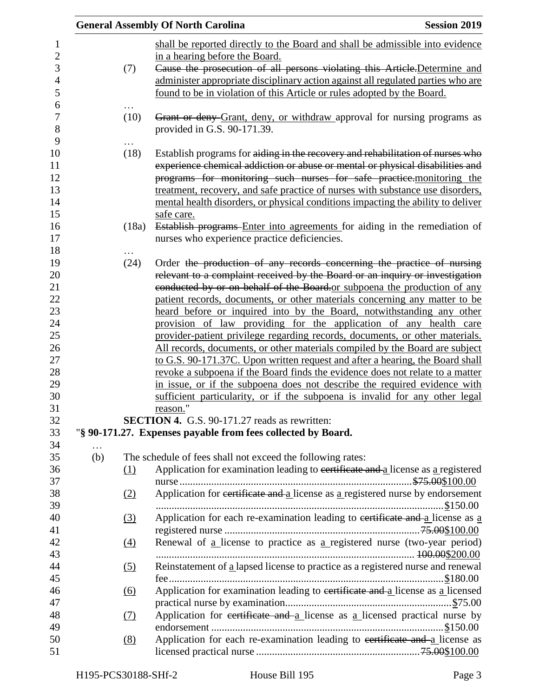|                 |                   | <b>General Assembly Of North Carolina</b><br><b>Session 2019</b>                 |
|-----------------|-------------------|----------------------------------------------------------------------------------|
|                 |                   | shall be reported directly to the Board and shall be admissible into evidence    |
|                 |                   | in a hearing before the Board.                                                   |
|                 | (7)               | Cause the prosecution of all persons violating this Article-Determine and        |
|                 |                   | administer appropriate disciplinary action against all regulated parties who are |
|                 |                   | found to be in violation of this Article or rules adopted by the Board.          |
|                 |                   |                                                                                  |
|                 | (10)              | Grant or deny Grant, deny, or withdraw approval for nursing programs as          |
|                 |                   | provided in G.S. 90-171.39.                                                      |
|                 |                   |                                                                                  |
|                 | (18)              | Establish programs for aiding in the recovery and rehabilitation of nurses who   |
|                 |                   | experience chemical addiction or abuse or mental or physical disabilities and    |
|                 |                   | programs for monitoring such nurses for safe practice.monitoring the             |
|                 |                   | treatment, recovery, and safe practice of nurses with substance use disorders,   |
|                 |                   | mental health disorders, or physical conditions impacting the ability to deliver |
|                 |                   | safe care.                                                                       |
|                 | (18a)             | Establish programs Enter into agreements for aiding in the remediation of        |
|                 |                   | nurses who experience practice deficiencies.                                     |
|                 |                   |                                                                                  |
|                 | (24)              | Order the production of any records concerning the practice of nursing           |
|                 |                   | relevant to a complaint received by the Board or an inquiry or investigation     |
|                 |                   | conducted by or on behalf of the Board or subpoena the production of any         |
|                 |                   | patient records, documents, or other materials concerning any matter to be       |
|                 |                   | heard before or inquired into by the Board, notwithstanding any other            |
|                 |                   | provision of law providing for the application of any health care                |
|                 |                   | provider-patient privilege regarding records, documents, or other materials.     |
|                 |                   | All records, documents, or other materials compiled by the Board are subject     |
|                 |                   | to G.S. 90-171.37C. Upon written request and after a hearing, the Board shall    |
|                 |                   | revoke a subpoena if the Board finds the evidence does not relate to a matter    |
|                 |                   | in issue, or if the subpoena does not describe the required evidence with        |
|                 |                   | sufficient particularity, or if the subpoena is invalid for any other legal      |
|                 |                   | reason."                                                                         |
|                 |                   | <b>SECTION 4.</b> G.S. 90-171.27 reads as rewritten:                             |
|                 |                   | "§ 90-171.27. Expenses payable from fees collected by Board.                     |
| $\cdots$<br>(b) |                   | The schedule of fees shall not exceed the following rates:                       |
|                 | (1)               | Application for examination leading to certificate and a license as a registered |
|                 |                   |                                                                                  |
|                 | (2)               | Application for eertificate and a license as a registered nurse by endorsement   |
|                 |                   |                                                                                  |
|                 | (3)               | Application for each re-examination leading to certificate and a license as a    |
|                 |                   |                                                                                  |
|                 | $\underline{(4)}$ | Renewal of a license to practice as a registered nurse (two-year period)         |
|                 |                   |                                                                                  |
|                 | <u>(5)</u>        | Reinstatement of a lapsed license to practice as a registered nurse and renewal  |
|                 |                   |                                                                                  |
|                 | <u>(6)</u>        | Application for examination leading to certificate and a license as a licensed   |
|                 |                   |                                                                                  |
|                 | (7)               | Application for certificate and a license as a licensed practical nurse by       |
|                 |                   |                                                                                  |
|                 | (8)               | Application for each re-examination leading to eertificate and a license as      |
|                 |                   |                                                                                  |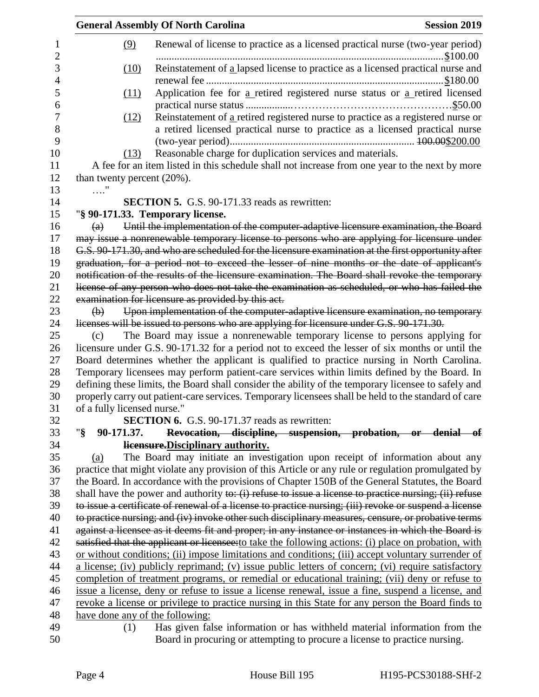|                   | <b>Session 2019</b><br><b>General Assembly Of North Carolina</b> |                                                                                                                          |                                                             |
|-------------------|------------------------------------------------------------------|--------------------------------------------------------------------------------------------------------------------------|-------------------------------------------------------------|
| 1<br>$\mathbf{2}$ | (9)                                                              | Renewal of license to practice as a licensed practical nurse (two-year period)                                           |                                                             |
| 3<br>4            | (10)                                                             | Reinstatement of a lapsed license to practice as a licensed practical nurse and                                          |                                                             |
| 5<br>6            | (11)                                                             | Application fee for a retired registered nurse status or a retired licensed                                              |                                                             |
| 7                 | (12)                                                             | Reinstatement of a retired registered nurse to practice as a registered nurse or                                         |                                                             |
| 8<br>9            |                                                                  | a retired licensed practical nurse to practice as a licensed practical nurse                                             |                                                             |
| 10                | (13)                                                             | Reasonable charge for duplication services and materials.                                                                |                                                             |
| 11                |                                                                  | A fee for an item listed in this schedule shall not increase from one year to the next by more                           |                                                             |
| 12                | than twenty percent $(20\%)$ .                                   |                                                                                                                          |                                                             |
| 13                | $\ldots$ "                                                       |                                                                                                                          |                                                             |
| 14                |                                                                  | <b>SECTION 5.</b> G.S. 90-171.33 reads as rewritten:                                                                     |                                                             |
| 15                |                                                                  | "§ 90-171.33. Temporary license.                                                                                         |                                                             |
| 16                | $\left( a\right)$                                                | Until the implementation of the computer adaptive licensure examination, the Board                                       |                                                             |
| 17                |                                                                  | may issue a nonrenewable temporary license to persons who are applying for licensure under                               |                                                             |
| 18                |                                                                  | G.S. 90-171.30, and who are scheduled for the licensure examination at the first opportunity after                       |                                                             |
| 19                |                                                                  | graduation, for a period not to exceed the lesser of nine months or the date of applicant's                              |                                                             |
| 20                |                                                                  | notification of the results of the licensure examination. The Board shall revoke the temporary                           |                                                             |
| 21                |                                                                  | license of any person who does not take the examination as scheduled, or who has failed the                              |                                                             |
| 22                |                                                                  | examination for licensure as provided by this act.                                                                       |                                                             |
| 23                | $\Theta$                                                         | Upon implementation of the computer-adaptive licensure examination, no temporary                                         |                                                             |
| 24                |                                                                  | licenses will be issued to persons who are applying for licensure under G.S. 90-171.30.                                  |                                                             |
| 25                | (c)                                                              | The Board may issue a nonrenewable temporary license to persons applying for                                             |                                                             |
| 26                |                                                                  | licensure under G.S. 90-171.32 for a period not to exceed the lesser of six months or until the                          |                                                             |
| 27                |                                                                  | Board determines whether the applicant is qualified to practice nursing in North Carolina.                               |                                                             |
| 28                |                                                                  | Temporary licensees may perform patient-care services within limits defined by the Board. In                             |                                                             |
| 29                |                                                                  | defining these limits, the Board shall consider the ability of the temporary licensee to safely and                      |                                                             |
| 30                |                                                                  | properly carry out patient-care services. Temporary licensees shall be held to the standard of care                      |                                                             |
| 31                | of a fully licensed nurse."                                      | <b>SECTION 6.</b> G.S. 90-171.37 reads as rewritten:                                                                     |                                                             |
| 32                | "§<br>90-171.37.                                                 |                                                                                                                          |                                                             |
| 33                |                                                                  |                                                                                                                          | Revocation, discipline, suspension, probation, or denial of |
| 34<br>35          |                                                                  | <b>Hensure.</b> Disciplinary authority.<br>The Board may initiate an investigation upon receipt of information about any |                                                             |
| 36                | (a)                                                              | practice that might violate any provision of this Article or any rule or regulation promulgated by                       |                                                             |
| 37                |                                                                  | the Board. In accordance with the provisions of Chapter 150B of the General Statutes, the Board                          |                                                             |
| 38                |                                                                  | shall have the power and authority to: $(i)$ refuse to issue a license to practice nursing; $(ii)$ refuse                |                                                             |
| 39                |                                                                  | to issue a certificate of renewal of a license to practice nursing; (iii) revoke or suspend a license                    |                                                             |
| 40                |                                                                  | to practice nursing; and (iv) invoke other such disciplinary measures, censure, or probative terms                       |                                                             |
| 41                |                                                                  | against a licensee as it deems fit and proper; in any instance or instances in which the Board is                        |                                                             |
| 42                |                                                                  | satisfied that the applicant or licensee: to take the following actions: (i) place on probation, with                    |                                                             |
| 43                |                                                                  | or without conditions; (ii) impose limitations and conditions; (iii) accept voluntary surrender of                       |                                                             |
| 44                |                                                                  | a license; (iv) publicly reprimand; (v) issue public letters of concern; (vi) require satisfactory                       |                                                             |
| 45                |                                                                  | completion of treatment programs, or remedial or educational training; (vii) deny or refuse to                           |                                                             |
| 46                |                                                                  | issue a license, deny or refuse to issue a license renewal, issue a fine, suspend a license, and                         |                                                             |
| 47                |                                                                  | revoke a license or privilege to practice nursing in this State for any person the Board finds to                        |                                                             |
| 48                | have done any of the following:                                  |                                                                                                                          |                                                             |
| 49                | (1)                                                              | Has given false information or has withheld material information from the                                                |                                                             |
| 50                |                                                                  | Board in procuring or attempting to procure a license to practice nursing.                                               |                                                             |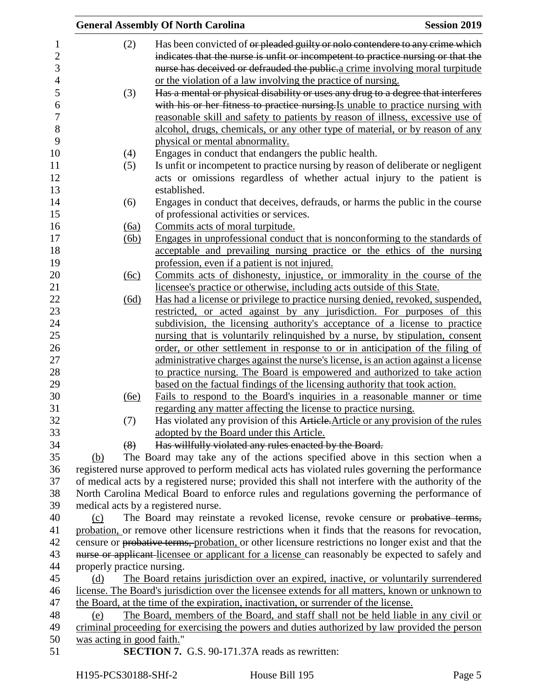|                                     | <b>General Assembly Of North Carolina</b>                                                           | <b>Session 2019</b> |
|-------------------------------------|-----------------------------------------------------------------------------------------------------|---------------------|
| (2)                                 | Has been convicted of or pleaded guilty or nolo contendere to any crime which                       |                     |
|                                     | indicates that the nurse is unfit or incompetent to practice nursing or that the                    |                     |
|                                     | nurse has deceived or defrauded the public-a crime involving moral turpitude                        |                     |
|                                     | or the violation of a law involving the practice of nursing.                                        |                     |
| (3)                                 | Has a mental or physical disability or uses any drug to a degree that interferes                    |                     |
|                                     | with his or her fitness to practice nursing. Is unable to practice nursing with                     |                     |
|                                     | <u>reasonable skill and safety to patients by reason of illness, excessive use of</u>               |                     |
|                                     | alcohol, drugs, chemicals, or any other type of material, or by reason of any                       |                     |
|                                     | physical or mental abnormality.                                                                     |                     |
| (4)                                 | Engages in conduct that endangers the public health.                                                |                     |
| (5)                                 | Is unfit or incompetent to practice nursing by reason of deliberate or negligent                    |                     |
|                                     | acts or omissions regardless of whether actual injury to the patient is                             |                     |
|                                     | established.                                                                                        |                     |
| (6)                                 | Engages in conduct that deceives, defrauds, or harms the public in the course                       |                     |
|                                     | of professional activities or services.                                                             |                     |
| <u>(6a)</u>                         | Commits acts of moral turpitude.                                                                    |                     |
| (6b)                                | Engages in unprofessional conduct that is nonconforming to the standards of                         |                     |
|                                     | acceptable and prevailing nursing practice or the ethics of the nursing                             |                     |
|                                     | profession, even if a patient is not injured.                                                       |                     |
| (6c)                                | Commits acts of dishonesty, injustice, or immorality in the course of the                           |                     |
|                                     | licensee's practice or otherwise, including acts outside of this State.                             |                     |
| (6d)                                | Has had a license or privilege to practice nursing denied, revoked, suspended,                      |                     |
|                                     | restricted, or acted against by any jurisdiction. For purposes of this                              |                     |
|                                     | subdivision, the licensing authority's acceptance of a license to practice                          |                     |
|                                     | nursing that is voluntarily relinquished by a nurse, by stipulation, consent                        |                     |
|                                     | order, or other settlement in response to or in anticipation of the filing of                       |                     |
|                                     | administrative charges against the nurse's license, is an action against a license                  |                     |
|                                     | to practice nursing. The Board is empowered and authorized to take action                           |                     |
|                                     | based on the factual findings of the licensing authority that took action.                          |                     |
| <u>(6e)</u>                         | Fails to respond to the Board's inquiries in a reasonable manner or time                            |                     |
|                                     | regarding any matter affecting the license to practice nursing.                                     |                     |
| (7)                                 | Has violated any provision of this Article. Article or any provision of the rules                   |                     |
|                                     | adopted by the Board under this Article.                                                            |                     |
| (8)                                 | Has willfully violated any rules enacted by the Board.                                              |                     |
| (b)                                 | The Board may take any of the actions specified above in this section when a                        |                     |
|                                     | registered nurse approved to perform medical acts has violated rules governing the performance      |                     |
|                                     | of medical acts by a registered nurse; provided this shall not interfere with the authority of the  |                     |
|                                     | North Carolina Medical Board to enforce rules and regulations governing the performance of          |                     |
| medical acts by a registered nurse. |                                                                                                     |                     |
| (c)                                 | The Board may reinstate a revoked license, revoke censure or probative terms,                       |                     |
|                                     | probation, or remove other licensure restrictions when it finds that the reasons for revocation,    |                     |
|                                     | censure or probative terms, probation, or other licensure restrictions no longer exist and that the |                     |
|                                     | nurse or applicant-licensee or applicant for a license can reasonably be expected to safely and     |                     |
| properly practice nursing.          |                                                                                                     |                     |
| (d)                                 | The Board retains jurisdiction over an expired, inactive, or voluntarily surrendered                |                     |
|                                     | license. The Board's jurisdiction over the licensee extends for all matters, known or unknown to    |                     |
|                                     | the Board, at the time of the expiration, inactivation, or surrender of the license.                |                     |
| (e)                                 | The Board, members of the Board, and staff shall not be held liable in any civil or                 |                     |
|                                     | criminal proceeding for exercising the powers and duties authorized by law provided the person      |                     |
| was acting in good faith."          |                                                                                                     |                     |
|                                     | <b>SECTION 7.</b> G.S. 90-171.37A reads as rewritten:                                               |                     |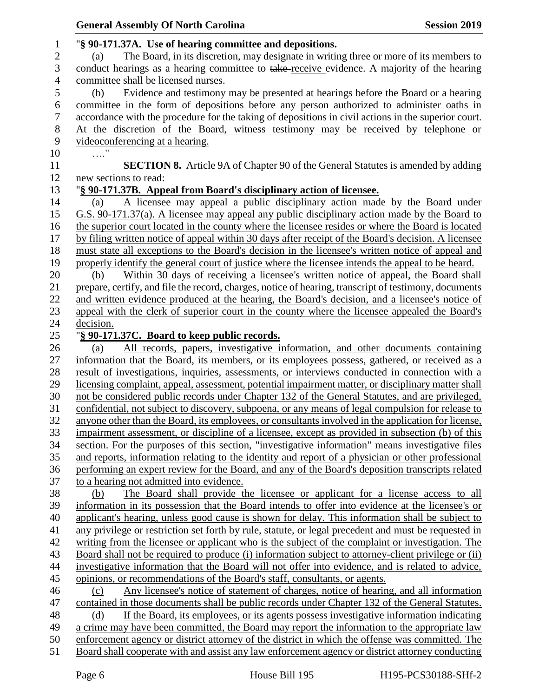| <b>General Assembly Of North Carolina</b>                                                             | <b>Session 2019</b> |
|-------------------------------------------------------------------------------------------------------|---------------------|
| "§ 90-171.37A. Use of hearing committee and depositions.                                              |                     |
| The Board, in its discretion, may designate in writing three or more of its members to<br>(a)         |                     |
| conduct hearings as a hearing committee to take-receive evidence. A majority of the hearing           |                     |
| committee shall be licensed nurses.                                                                   |                     |
| Evidence and testimony may be presented at hearings before the Board or a hearing<br>(b)              |                     |
| committee in the form of depositions before any person authorized to administer oaths in              |                     |
| accordance with the procedure for the taking of depositions in civil actions in the superior court.   |                     |
| At the discretion of the Board, witness testimony may be received by telephone or                     |                     |
| videoconferencing at a hearing.                                                                       |                     |
| $\ldots$ "                                                                                            |                     |
| <b>SECTION 8.</b> Article 9A of Chapter 90 of the General Statutes is amended by adding               |                     |
| new sections to read:                                                                                 |                     |
|                                                                                                       |                     |
| "§ 90-171.37B. Appeal from Board's disciplinary action of licensee.                                   |                     |
| A licensee may appeal a public disciplinary action made by the Board under<br>(a)                     |                     |
| G.S. 90-171.37(a). A licensee may appeal any public disciplinary action made by the Board to          |                     |
| the superior court located in the county where the licensee resides or where the Board is located     |                     |
| by filing written notice of appeal within 30 days after receipt of the Board's decision. A licensee   |                     |
| must state all exceptions to the Board's decision in the licensee's written notice of appeal and      |                     |
| properly identify the general court of justice where the licensee intends the appeal to be heard.     |                     |
| Within 30 days of receiving a licensee's written notice of appeal, the Board shall<br>(b)             |                     |
| prepare, certify, and file the record, charges, notice of hearing, transcript of testimony, documents |                     |
| and written evidence produced at the hearing, the Board's decision, and a licensee's notice of        |                     |
| appeal with the clerk of superior court in the county where the licensee appealed the Board's         |                     |
| decision.                                                                                             |                     |
| "§ 90-171.37C. Board to keep public records.                                                          |                     |
| All records, papers, investigative information, and other documents containing<br>(a)                 |                     |
| information that the Board, its members, or its employees possess, gathered, or received as a         |                     |
| result of investigations, inquiries, assessments, or interviews conducted in connection with a        |                     |
| licensing complaint, appeal, assessment, potential impairment matter, or disciplinary matter shall    |                     |
| not be considered public records under Chapter 132 of the General Statutes, and are privileged,       |                     |
| confidential, not subject to discovery, subpoena, or any means of legal compulsion for release to     |                     |
| anyone other than the Board, its employees, or consultants involved in the application for license,   |                     |
| impairment assessment, or discipline of a licensee, except as provided in subsection (b) of this      |                     |
| section. For the purposes of this section, "investigative information" means investigative files      |                     |
| and reports, information relating to the identity and report of a physician or other professional     |                     |
| performing an expert review for the Board, and any of the Board's deposition transcripts related      |                     |
| to a hearing not admitted into evidence.                                                              |                     |
| The Board shall provide the licensee or applicant for a license access to all<br>(b)                  |                     |
| information in its possession that the Board intends to offer into evidence at the licensee's or      |                     |
| applicant's hearing, unless good cause is shown for delay. This information shall be subject to       |                     |
| any privilege or restriction set forth by rule, statute, or legal precedent and must be requested in  |                     |
| writing from the licensee or applicant who is the subject of the complaint or investigation. The      |                     |
| Board shall not be required to produce (i) information subject to attorney-client privilege or (ii)   |                     |
| investigative information that the Board will not offer into evidence, and is related to advice,      |                     |
| opinions, or recommendations of the Board's staff, consultants, or agents.                            |                     |
| Any licensee's notice of statement of charges, notice of hearing, and all information<br>(c)          |                     |
| contained in those documents shall be public records under Chapter 132 of the General Statutes.       |                     |
| If the Board, its employees, or its agents possess investigative information indicating<br>(d)        |                     |
| a crime may have been committed, the Board may report the information to the appropriate law          |                     |
| enforcement agency or district attorney of the district in which the offense was committed. The       |                     |
| Board shall cooperate with and assist any law enforcement agency or district attorney conducting      |                     |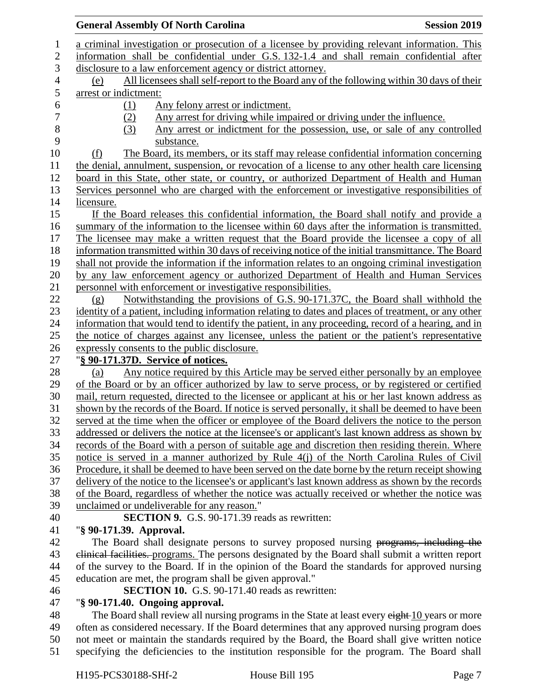## a criminal investigation or prosecution of a licensee by providing relevant information. This information shall be confidential under G.S. 132-1.4 and shall remain confidential after disclosure to a law enforcement agency or district attorney. (e) All licensees shall self-report to the Board any of the following within 30 days of their arrest or indictment: (1) Any felony arrest or indictment. (2) Any arrest for driving while impaired or driving under the influence. 8 (3) Any arrest or indictment for the possession, use, or sale of any controlled substance. substance. (f) The Board, its members, or its staff may release confidential information concerning the denial, annulment, suspension, or revocation of a license to any other health care licensing board in this State, other state, or country, or authorized Department of Health and Human Services personnel who are charged with the enforcement or investigative responsibilities of licensure. If the Board releases this confidential information, the Board shall notify and provide a summary of the information to the licensee within 60 days after the information is transmitted. The licensee may make a written request that the Board provide the licensee a copy of all information transmitted within 30 days of receiving notice of the initial transmittance. The Board shall not provide the information if the information relates to an ongoing criminal investigation by any law enforcement agency or authorized Department of Health and Human Services personnel with enforcement or investigative responsibilities. (g) Notwithstanding the provisions of G.S. 90-171.37C, the Board shall withhold the 23 identity of a patient, including information relating to dates and places of treatment, or any other information that would tend to identify the patient, in any proceeding, record of a hearing, and in the notice of charges against any licensee, unless the patient or the patient's representative expressly consents to the public disclosure. "**§ 90-171.37D. Service of notices.** 28 (a) Any notice required by this Article may be served either personally by an employee of the Board or by an officer authorized by law to serve process, or by registered or certified mail, return requested, directed to the licensee or applicant at his or her last known address as shown by the records of the Board. If notice is served personally, it shall be deemed to have been served at the time when the officer or employee of the Board delivers the notice to the person addressed or delivers the notice at the licensee's or applicant's last known address as shown by records of the Board with a person of suitable age and discretion then residing therein. Where notice is served in a manner authorized by Rule 4(j) of the North Carolina Rules of Civil Procedure, it shall be deemed to have been served on the date borne by the return receipt showing delivery of the notice to the licensee's or applicant's last known address as shown by the records of the Board, regardless of whether the notice was actually received or whether the notice was unclaimed or undeliverable for any reason." **SECTION 9.** G.S. 90-171.39 reads as rewritten: "**§ 90-171.39. Approval.** 42 The Board shall designate persons to survey proposed nursing programs, including the 43 elinical facilities. programs. The persons designated by the Board shall submit a written report of the survey to the Board. If in the opinion of the Board the standards for approved nursing education are met, the program shall be given approval." **SECTION 10.** G.S. 90-171.40 reads as rewritten: "**§ 90-171.40. Ongoing approval.** 48 The Board shall review all nursing programs in the State at least every eight 10 years or more often as considered necessary. If the Board determines that any approved nursing program does not meet or maintain the standards required by the Board, the Board shall give written notice specifying the deficiencies to the institution responsible for the program. The Board shall

**General Assembly Of North Carolina Session 2019 Session 2019**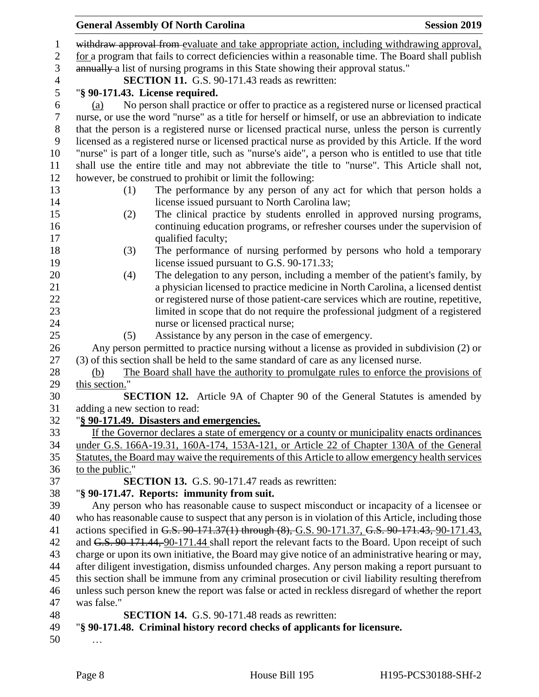|                | <b>Session 2019</b><br><b>General Assembly Of North Carolina</b>                                                 |
|----------------|------------------------------------------------------------------------------------------------------------------|
|                | withdraw approval from evaluate and take appropriate action, including withdrawing approval,                     |
| $\mathbf{2}$   | for a program that fails to correct deficiencies within a reasonable time. The Board shall publish               |
| $\mathfrak{Z}$ | annually a list of nursing programs in this State showing their approval status."                                |
|                | <b>SECTION 11.</b> G.S. 90-171.43 reads as rewritten:                                                            |
| 5              | "§ 90-171.43. License required.                                                                                  |
| 6              | No person shall practice or offer to practice as a registered nurse or licensed practical<br>(a)                 |
| $\tau$         | nurse, or use the word "nurse" as a title for herself or himself, or use an abbreviation to indicate             |
| $8\,$          | that the person is a registered nurse or licensed practical nurse, unless the person is currently                |
| 9              | licensed as a registered nurse or licensed practical nurse as provided by this Article. If the word              |
|                | "nurse" is part of a longer title, such as "nurse's aide", a person who is entitled to use that title            |
|                | shall use the entire title and may not abbreviate the title to "nurse". This Article shall not,                  |
|                | however, be construed to prohibit or limit the following:                                                        |
|                | The performance by any person of any act for which that person holds a<br>(1)                                    |
|                | license issued pursuant to North Carolina law;                                                                   |
|                | The clinical practice by students enrolled in approved nursing programs,<br>(2)                                  |
|                | continuing education programs, or refresher courses under the supervision of                                     |
|                | qualified faculty;                                                                                               |
|                | The performance of nursing performed by persons who hold a temporary<br>(3)                                      |
|                | license issued pursuant to G.S. 90-171.33;                                                                       |
|                | The delegation to any person, including a member of the patient's family, by<br>(4)                              |
|                | a physician licensed to practice medicine in North Carolina, a licensed dentist                                  |
|                | or registered nurse of those patient-care services which are routine, repetitive,                                |
|                | limited in scope that do not require the professional judgment of a registered                                   |
|                | nurse or licensed practical nurse;                                                                               |
|                | Assistance by any person in the case of emergency.<br>(5)                                                        |
|                | Any person permitted to practice nursing without a license as provided in subdivision (2) or                     |
|                | (3) of this section shall be held to the same standard of care as any licensed nurse.                            |
|                | The Board shall have the authority to promulgate rules to enforce the provisions of<br>(b)                       |
|                | this section."                                                                                                   |
|                | <b>SECTION 12.</b> Article 9A of Chapter 90 of the General Statutes is amended by                                |
|                | adding a new section to read:                                                                                    |
|                | "§ 90-171.49. Disasters and emergencies.                                                                         |
|                | If the Governor declares a state of emergency or a county or municipality enacts ordinances                      |
|                | under G.S. 166A-19.31, 160A-174, 153A-121, or Article 22 of Chapter 130A of the General                          |
|                | Statutes, the Board may waive the requirements of this Article to allow emergency health services                |
|                | to the public."                                                                                                  |
|                | <b>SECTION 13.</b> G.S. 90-171.47 reads as rewritten:                                                            |
|                | "§ 90-171.47. Reports: immunity from suit.                                                                       |
|                | Any person who has reasonable cause to suspect misconduct or incapacity of a licensee or                         |
|                | who has reasonable cause to suspect that any person is in violation of this Article, including those             |
|                | actions specified in G.S. 90-171.37(1) through (8), G.S. 90-171.37, G.S. 90-171.43, 90-171.43,                   |
|                | and G.S. 90-171.44, 90-171.44 shall report the relevant facts to the Board. Upon receipt of such                 |
|                | charge or upon its own initiative, the Board may give notice of an administrative hearing or may,                |
|                | after diligent investigation, dismiss unfounded charges. Any person making a report pursuant to                  |
|                | this section shall be immune from any criminal prosecution or civil liability resulting therefrom                |
|                | unless such person knew the report was false or acted in reckless disregard of whether the report<br>was false." |
|                | <b>SECTION 14.</b> G.S. 90-171.48 reads as rewritten:                                                            |
|                | "§ 90-171.48. Criminal history record checks of applicants for licensure.                                        |
|                |                                                                                                                  |
|                |                                                                                                                  |